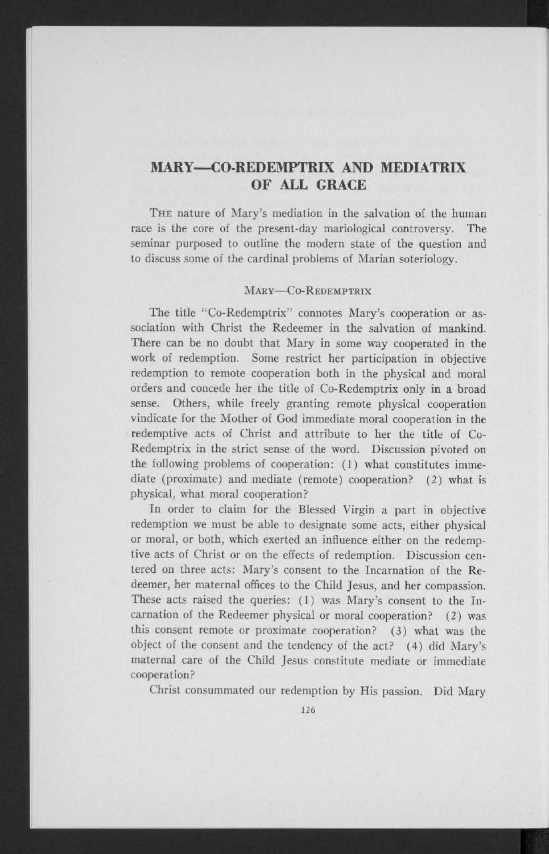## **MARY—CO-REDEMPTRIX AND MEDIATRIX OF ALL GRACE**

THE nature of Mary's mediation in the salvation of the human race is the core of the present-day mariological controversy. The seminar purposed to outline the modern state of the question and to discuss some of the cardinal problems of Marian soteriology.

## MARY-CO-REDEMPTRIX

The title "Co-Redemptrix" connotes Mary's cooperation or association with Christ the Redeemer in the salvation of mankind. There can be no doubt that Mary in some way cooperated in the work of redemption. Some restrict her participation in objective redemption to remote cooperation both in the physical and moral orders and concede her the title of Co-Redemptrix only in a broad sense. Others, while freely granting remote physical cooperation vindicate for the Mother of God immediate moral cooperation in the redemptive acts of Christ and attribute to her the title of Co-Redemptrix in the strict sense of the word. Discussion pivoted on the following problems of cooperation: (1) what constitutes immediate (proximate) and mediate (remote) cooperation? (2) what is physical, what moral cooperation?

In order to claim for the Blessed Virgin a part in objective redemption we must be able to designate some acts, either physical or moral, or both, which exerted an influence either on the redemptive acts of Christ or on the effects of redemption. Discussion centered on three acts: Mary's consent to the Incarnation of the Redeemer, her maternal offices to the Child Jesus, and her compassion. These acts raised the queries: (1) was Mary's consent to the Incarnation of the Redeemer physical or moral cooperation? (2) was this consent remote or proximate cooperation? (3) what was the object of the consent and the tendency of the act? (4) did Mary's maternal care of the Child Jesus constitute mediate or immediate cooperation?

Christ consummated our redemption by His passion. Did Mary